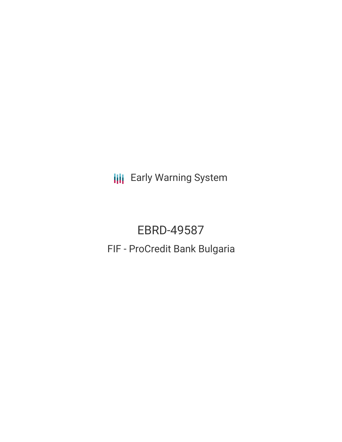**III** Early Warning System

EBRD-49587 FIF - ProCredit Bank Bulgaria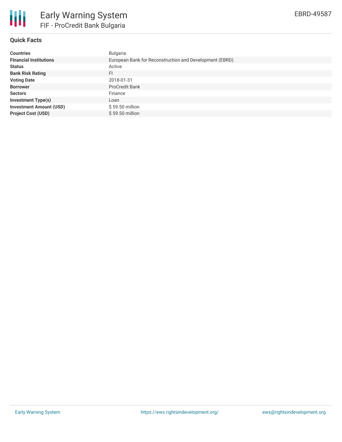

# **Quick Facts**

| <b>Countries</b>               | <b>Bulgaria</b>                                         |
|--------------------------------|---------------------------------------------------------|
| <b>Financial Institutions</b>  | European Bank for Reconstruction and Development (EBRD) |
| <b>Status</b>                  | Active                                                  |
| <b>Bank Risk Rating</b>        | FI                                                      |
| <b>Voting Date</b>             | 2018-01-31                                              |
| <b>Borrower</b>                | <b>ProCredit Bank</b>                                   |
| <b>Sectors</b>                 | Finance                                                 |
| <b>Investment Type(s)</b>      | Loan                                                    |
| <b>Investment Amount (USD)</b> | \$59.50 million                                         |
| <b>Project Cost (USD)</b>      | \$59.50 million                                         |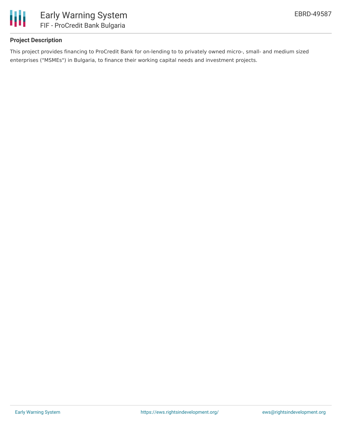

# **Project Description**

This project provides financing to ProCredit Bank for on-lending to to privately owned micro-, small- and medium sized enterprises ("MSMEs") in Bulgaria, to finance their working capital needs and investment projects.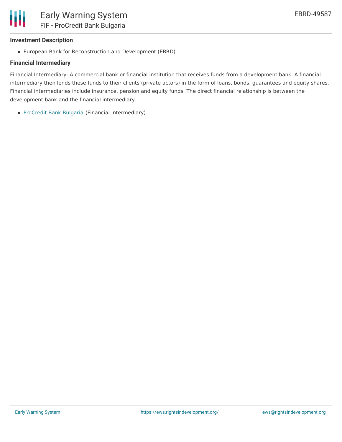## **Investment Description**

European Bank for Reconstruction and Development (EBRD)

# **Financial Intermediary**

Financial Intermediary: A commercial bank or financial institution that receives funds from a development bank. A financial intermediary then lends these funds to their clients (private actors) in the form of loans, bonds, guarantees and equity shares. Financial intermediaries include insurance, pension and equity funds. The direct financial relationship is between the development bank and the financial intermediary.

• [ProCredit](file:///actor/178/) Bank Bulgaria (Financial Intermediary)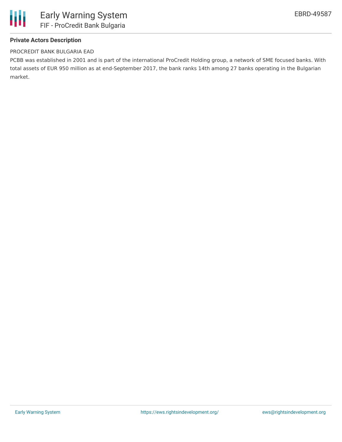

# **Private Actors Description**

#### PROCREDIT BANK BULGARIA EAD

PCBB was established in 2001 and is part of the international ProCredit Holding group, a network of SME focused banks. With total assets of EUR 950 million as at end-September 2017, the bank ranks 14th among 27 banks operating in the Bulgarian market.